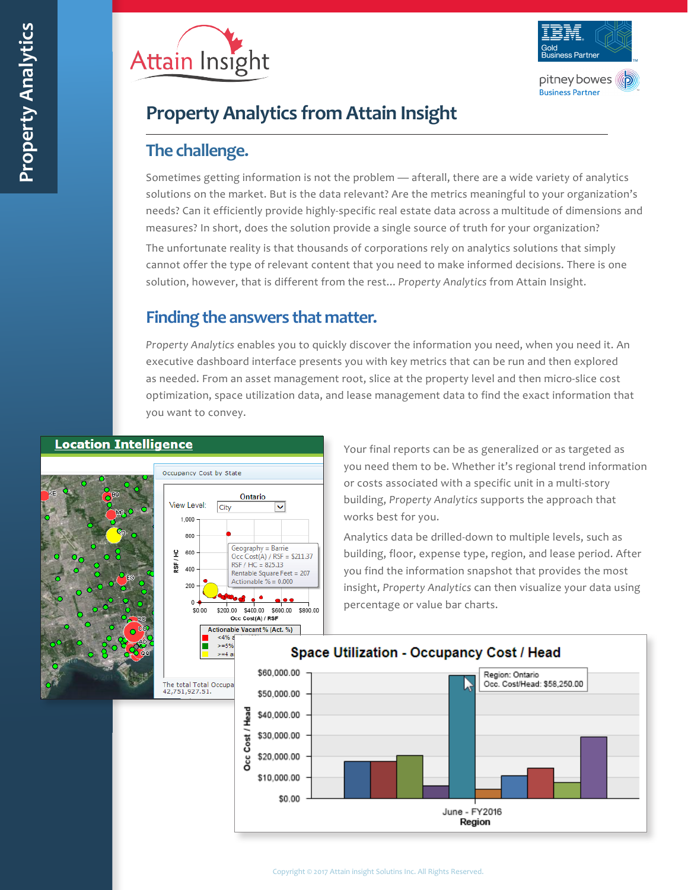



# **Property Analytics from Attain Insight**

### **The challenge.**

Sometimes getting information is not the problem — afterall, there are a wide variety of analytics solutions on the market. But is the data relevant? Are the metrics meaningful to your organization's needs? Can it efficiently provide highly-specific real estate data across a multitude of dimensions and measures? In short, does the solution provide a single source of truth for your organization?

The unfortunate reality is that thousands of corporations rely on analytics solutions that simply cannot offer the type of relevant content that you need to make informed decisions. There is one solution, however, that is different from the rest... *Property Analytics* from Attain Insight.

### **Finding the answers that matter.**

*Property Analytics* enables you to quickly discover the information you need, when you need it. An executive dashboard interface presents you with key metrics that can be run and then explored as needed. From an asset management root, slice at the property level and then micro-slice cost optimization, space utilization data, and lease management data to find the exact information that you want to convey.

### **Location Intelligence**





Your final reports can be as generalized or as targeted as you need them to be. Whether it's regional trend information or costs associated with a specific unit in a multi-story building, *Property Analytics* supports the approach that works best for you.

Analytics data be drilled-down to multiple levels, such as building, floor, expense type, region, and lease period. After you find the information snapshot that provides the most insight, *Property Analytics* can then visualize your data using percentage or value bar charts.



#### Copyright © 2017 Attain insight Solutins Inc. All Rights Reserved.